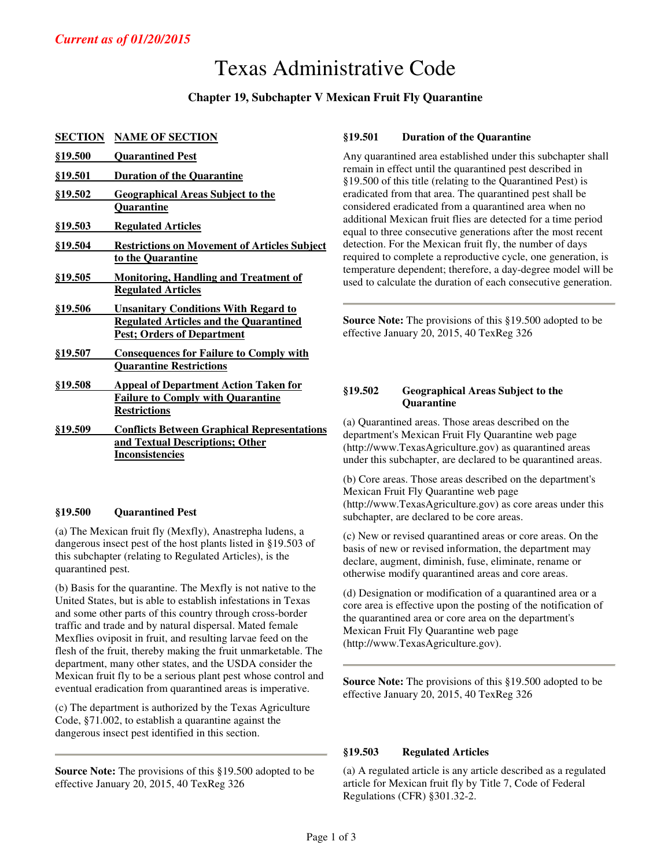# Texas Administrative Code

# **Chapter 19, Subchapter V Mexican Fruit Fly Quarantine**

# **SECTION NAME OF SECTION**

| <u>§19.500</u> | <b>Quarantined Pest</b>                             |
|----------------|-----------------------------------------------------|
| <u>§19.501</u> | <b>Duration of the Quarantine</b>                   |
| <u>§19.502</u> | <b>Geographical Areas Subject to the</b>            |
|                | <b>Quarantine</b>                                   |
| <u>§19.503</u> | <b>Regulated Articles</b>                           |
| §19.504        | <b>Restrictions on Movement of Articles Subject</b> |
|                | to the Quarantine                                   |
| <u>§19.505</u> | <b>Monitoring, Handling and Treatment of</b>        |
|                | <b>Regulated Articles</b>                           |
| <u>§19.506</u> | <b>Unsanitary Conditions With Regard to</b>         |
|                | <b>Regulated Articles and the Quarantined</b>       |
|                | <b>Pest; Orders of Department</b>                   |
| §19.507        | <b>Consequences for Failure to Comply with</b>      |
|                | <b>Quarantine Restrictions</b>                      |
| <b>§19.508</b> | <b>Appeal of Department Action Taken for</b>        |
|                | <b>Failure to Comply with Quarantine</b>            |
|                | <b>Restrictions</b>                                 |
| <b>§19.509</b> | <b>Conflicts Between Graphical Representations</b>  |
|                | and Textual Descriptions; Other                     |
|                | <b>Inconsistencies</b>                              |

## **§19.500 Quarantined Pest**

(a) The Mexican fruit fly (Mexfly), Anastrepha ludens, a dangerous insect pest of the host plants listed in §19.503 of this subchapter (relating to Regulated Articles), is the quarantined pest.

(b) Basis for the quarantine. The Mexfly is not native to the United States, but is able to establish infestations in Texas and some other parts of this country through cross-border traffic and trade and by natural dispersal. Mated female Mexflies oviposit in fruit, and resulting larvae feed on the flesh of the fruit, thereby making the fruit unmarketable. The department, many other states, and the USDA consider the Mexican fruit fly to be a serious plant pest whose control and eventual eradication from quarantined areas is imperative.

(c) The department is authorized by the Texas Agriculture Code, §71.002, to establish a quarantine against the dangerous insect pest identified in this section.

**Source Note:** The provisions of this §19.500 adopted to be effective January 20, 2015, 40 TexReg 326

## **§19.501 Duration of the Quarantine**

Any quarantined area established under this subchapter shall remain in effect until the quarantined pest described in §19.500 of this title (relating to the Quarantined Pest) is eradicated from that area. The quarantined pest shall be considered eradicated from a quarantined area when no additional Mexican fruit flies are detected for a time period equal to three consecutive generations after the most recent detection. For the Mexican fruit fly, the number of days required to complete a reproductive cycle, one generation, is temperature dependent; therefore, a day-degree model will be used to calculate the duration of each consecutive generation.

**Source Note:** The provisions of this §19.500 adopted to be effective January 20, 2015, 40 TexReg 326

# **§19.502 Geographical Areas Subject to the Quarantine**

(a) Quarantined areas. Those areas described on the department's Mexican Fruit Fly Quarantine web page (http://www.TexasAgriculture.gov) as quarantined areas under this subchapter, are declared to be quarantined areas.

(b) Core areas. Those areas described on the department's Mexican Fruit Fly Quarantine web page (http://www.TexasAgriculture.gov) as core areas under this subchapter, are declared to be core areas.

(c) New or revised quarantined areas or core areas. On the basis of new or revised information, the department may declare, augment, diminish, fuse, eliminate, rename or otherwise modify quarantined areas and core areas.

(d) Designation or modification of a quarantined area or a core area is effective upon the posting of the notification of the quarantined area or core area on the department's Mexican Fruit Fly Quarantine web page (http://www.TexasAgriculture.gov).

**Source Note:** The provisions of this §19.500 adopted to be effective January 20, 2015, 40 TexReg 326

## **§19.503 Regulated Articles**

(a) A regulated article is any article described as a regulated article for Mexican fruit fly by Title 7, Code of Federal Regulations (CFR) §301.32-2.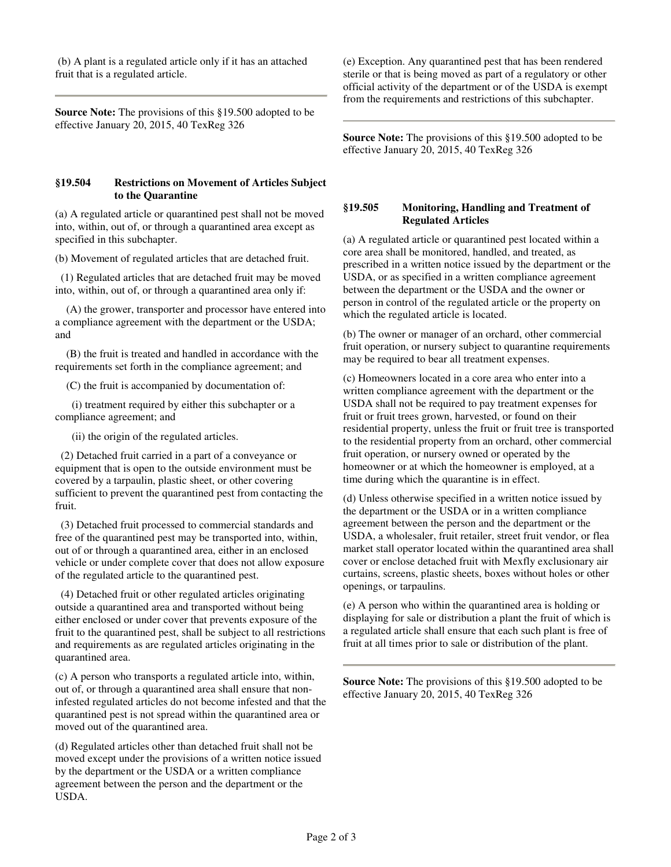(b) A plant is a regulated article only if it has an attached fruit that is a regulated article.

**Source Note:** The provisions of this §19.500 adopted to be effective January 20, 2015, 40 TexReg 326

#### **§19.504 Restrictions on Movement of Articles Subject to the Quarantine**

(a) A regulated article or quarantined pest shall not be moved into, within, out of, or through a quarantined area except as specified in this subchapter.

(b) Movement of regulated articles that are detached fruit.

 (1) Regulated articles that are detached fruit may be moved into, within, out of, or through a quarantined area only if:

 (A) the grower, transporter and processor have entered into a compliance agreement with the department or the USDA; and

 (B) the fruit is treated and handled in accordance with the requirements set forth in the compliance agreement; and

(C) the fruit is accompanied by documentation of:

 (i) treatment required by either this subchapter or a compliance agreement; and

(ii) the origin of the regulated articles.

 (2) Detached fruit carried in a part of a conveyance or equipment that is open to the outside environment must be covered by a tarpaulin, plastic sheet, or other covering sufficient to prevent the quarantined pest from contacting the fruit.

 (3) Detached fruit processed to commercial standards and free of the quarantined pest may be transported into, within, out of or through a quarantined area, either in an enclosed vehicle or under complete cover that does not allow exposure of the regulated article to the quarantined pest.

 (4) Detached fruit or other regulated articles originating outside a quarantined area and transported without being either enclosed or under cover that prevents exposure of the fruit to the quarantined pest, shall be subject to all restrictions and requirements as are regulated articles originating in the quarantined area.

(c) A person who transports a regulated article into, within, out of, or through a quarantined area shall ensure that noninfested regulated articles do not become infested and that the quarantined pest is not spread within the quarantined area or moved out of the quarantined area.

(d) Regulated articles other than detached fruit shall not be moved except under the provisions of a written notice issued by the department or the USDA or a written compliance agreement between the person and the department or the USDA.

(e) Exception. Any quarantined pest that has been rendered sterile or that is being moved as part of a regulatory or other official activity of the department or of the USDA is exempt from the requirements and restrictions of this subchapter.

**Source Note:** The provisions of this §19.500 adopted to be effective January 20, 2015, 40 TexReg 326

## **§19.505 Monitoring, Handling and Treatment of Regulated Articles**

(a) A regulated article or quarantined pest located within a core area shall be monitored, handled, and treated, as prescribed in a written notice issued by the department or the USDA, or as specified in a written compliance agreement between the department or the USDA and the owner or person in control of the regulated article or the property on which the regulated article is located.

(b) The owner or manager of an orchard, other commercial fruit operation, or nursery subject to quarantine requirements may be required to bear all treatment expenses.

(c) Homeowners located in a core area who enter into a written compliance agreement with the department or the USDA shall not be required to pay treatment expenses for fruit or fruit trees grown, harvested, or found on their residential property, unless the fruit or fruit tree is transported to the residential property from an orchard, other commercial fruit operation, or nursery owned or operated by the homeowner or at which the homeowner is employed, at a time during which the quarantine is in effect.

(d) Unless otherwise specified in a written notice issued by the department or the USDA or in a written compliance agreement between the person and the department or the USDA, a wholesaler, fruit retailer, street fruit vendor, or flea market stall operator located within the quarantined area shall cover or enclose detached fruit with Mexfly exclusionary air curtains, screens, plastic sheets, boxes without holes or other openings, or tarpaulins.

(e) A person who within the quarantined area is holding or displaying for sale or distribution a plant the fruit of which is a regulated article shall ensure that each such plant is free of fruit at all times prior to sale or distribution of the plant.

**Source Note:** The provisions of this §19.500 adopted to be effective January 20, 2015, 40 TexReg 326